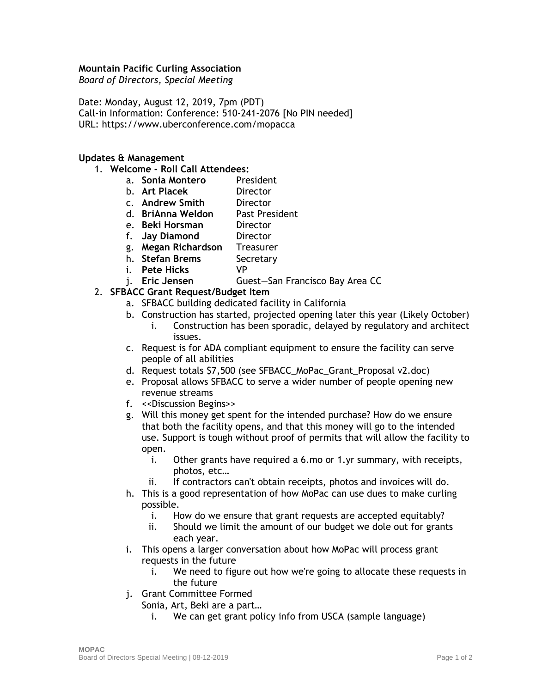## **Mountain Pacific Curling Association**

*Board of Directors, Special Meeting*

Date: Monday, August 12, 2019, 7pm (PDT) Call-in Information: Conference: 510-241-2076 [No PIN needed] URL:<https://www.uberconference.com/mopacca>

## **Updates & Management**

- 1. **Welcome - Roll Call Attendees:**
	- a. **Sonia Montero** President
	- b. **Art Placek** Director
	- c. **Andrew Smith** Director
	- d. **BriAnna Weldon** Past President
	- e. **Beki Horsman** Director
	- f. **Jay Diamond** Director
	- g. **Megan Richardson** Treasurer
	- h. **Stefan Brems** Secretary
	- i. **Pete Hicks** VP
	- j. **Eric Jensen** Guest—San Francisco Bay Area CC
- 2. **SFBACC Grant Request/Budget Item**
	- a. SFBACC building dedicated facility in California
	- b. Construction has started, projected opening later this year (Likely October)
		- i. Construction has been sporadic, delayed by regulatory and architect issues.
	- c. Request is for ADA compliant equipment to ensure the facility can serve people of all abilities
	- d. Request totals \$7,500 (see SFBACC\_MoPac\_Grant\_Proposal v2.doc)
	- e. Proposal allows SFBACC to serve a wider number of people opening new revenue streams
	- f. <<Discussion Begins>>
	- g. Will this money get spent for the intended purchase? How do we ensure that both the facility opens, and that this money will go to the intended use. Support is tough without proof of permits that will allow the facility to open.
		- i. Other grants have required a 6.mo or 1.yr summary, with receipts, photos, etc…
		- ii. If contractors can't obtain receipts, photos and invoices will do.
	- h. This is a good representation of how MoPac can use dues to make curling possible.
		- i. How do we ensure that grant requests are accepted equitably?
		- ii. Should we limit the amount of our budget we dole out for grants each year.
	- i. This opens a larger conversation about how MoPac will process grant requests in the future
		- i. We need to figure out how we're going to allocate these requests in the future
	- j. Grant Committee Formed
		- Sonia, Art, Beki are a part…
			- i. We can get grant policy info from USCA (sample language)